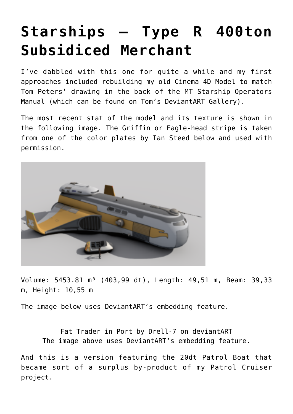## **[Starships – Type R 400ton](https://traveller.chromeblack.com/a-dummy-collection-of-old-news-09/) [Subsidiced Merchant](https://traveller.chromeblack.com/a-dummy-collection-of-old-news-09/)**

I've dabbled with this one for quite a while and my first approaches included rebuilding my old Cinema 4D Model to match Tom Peters' drawing in the back of the MT Starship Operators Manual (which can be found on Tom's DeviantART Gallery).

The most recent stat of the model and its texture is shown in the following image. The Griffin or Eagle-head stripe is taken from one of the [color plates by Ian Steed](http://biomass.deviantart.com/art/TYPE-R-Colour-Plates-375927852) below and used with permission.



Volume: 5453.81 m<sup>3</sup> (403,99 dt), Length: 49,51 m, Beam: 39,33 m, Height: 10,55 m

The image below uses DeviantART's embedding feature.

[Fat Trader in Port](http://drell-7.deviantart.com/art/Fat-Trader-in-Port-334008335) by [Drell-7](http://drell-7.deviantart.com/) on [deviantART](http://www.deviantart.com) The image above uses DeviantART's embedding feature.

And this is a version featuring the 20dt Patrol Boat that became sort of a surplus by-product of my Patrol Cruiser project.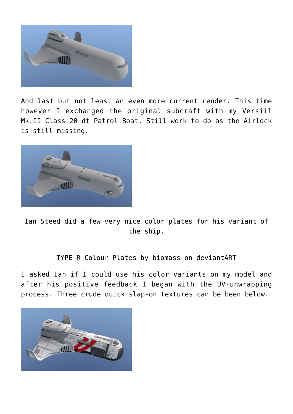

And last but not least an even more current render. This time however I exchanged the original subcraft with my Versiil Mk.II Class 20 dt Patrol Boat. Still work to do as the Airlock is still missing.



[Ian Steed](http://biomassart.wordpress.com/) did a few very nice color plates for his variant of the ship.

[TYPE R Colour Plates](http://biomass.deviantart.com/art/TYPE-R-Colour-Plates-375927852) by [biomass](http://biomass.deviantart.com/) on [deviantART](http://www.deviantart.com)

I asked Ian if I could use his color variants on my model and after his positive feedback I began with the UV-unwrapping process. Three crude quick slap-on textures can be been below.